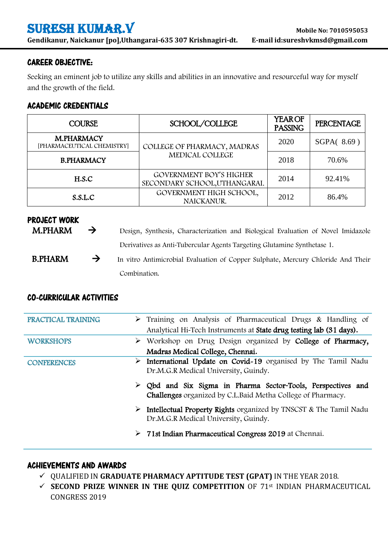# SURESH KUMAR.V **Mobile No: <sup>7010595053</sup>**

**Gendikanur, Naickanur [po],Uthangarai-635 307 Krishnagiri-dt. E-mail [id:sureshvkmsd@gmail.com](mailto:sureshkvmmc@gmail.com)**

#### CAREER OBJECTIVE:

Seeking an eminent job to utilize any skills and abilities in an innovative and resourceful way for myself and the growth of the field.

## ACADEMIC CREDENTIALS

| <b>COURSE</b>                                   | SCHOOL/COLLEGE                                           | <b>YEAROF</b><br><b>PASSING</b> | <b>PERCENTAGE</b> |
|-------------------------------------------------|----------------------------------------------------------|---------------------------------|-------------------|
| <b>M.PHARMACY</b><br>[PHARMACEUTICAL CHEMISTRY] | COLLEGE OF PHARMACY, MADRAS                              | 2020                            | SGPA(8.69         |
| <b>B.PHARMACY</b>                               | MEDICAL COLLEGE                                          | 2018                            | 70.6%             |
| H.S.C                                           | GOVERNMENT BOY'S HIGHER<br>SECONDARY SCHOOL, UTHANGARAI. | 2014                            | 92.41%            |
| S.S.L.C                                         | GOVERNMENT HIGH SCHOOL,<br>NAICKANUR.                    | 2012                            | 86.4%             |

# PROJECT WORK<br>M.PHARM

- $\rightarrow$  Design, Synthesis, Characterization and Biological Evaluation of Novel Imidazole Derivatives as Anti-Tubercular Agents Targeting Glutamine Synthetase 1.
- $B.PHARM \rightarrow$  In vitro Antimicrobial Evaluation of Copper Sulphate, Mercury Chloride And Their Combination.

# CO-CURRICULAR ACTIVITIES

| <b>PRACTICAL TRAINING</b> |   | $\triangleright$ Training on Analysis of Pharmaceutical Drugs & Handling of<br>Analytical Hi-Tech Instruments at State drug testing lab (31 days). |  |
|---------------------------|---|----------------------------------------------------------------------------------------------------------------------------------------------------|--|
| <b>WORKSHOPS</b>          |   | > Workshop on Drug Design organized by College of Pharmacy,                                                                                        |  |
|                           |   | Madras Medical College, Chennai.                                                                                                                   |  |
| <b>CONFERENCES</b>        |   | $\triangleright$ International Update on Covid-19 organised by The Tamil Nadu<br>Dr.M.G.R Medical University, Guindy.                              |  |
|                           | ➤ | Qbd and Six Sigma in Pharma Sector-Tools, Perspectives and<br><b>Challenges</b> organized by C.L.Baid Metha College of Pharmacy.                   |  |
|                           | ➤ | Intellectual Property Rights organized by TNSCST & The Tamil Nadu<br>Dr.M.G.R Medical University, Guindy.                                          |  |
|                           |   | $\triangleright$ 71st Indian Pharmaceutical Congress 2019 at Chennai.                                                                              |  |

#### ACHIEVEMENTS AND AWARDS

- QUALIFIED IN **GRADUATE PHARMACY APTITUDE TEST (GPAT)** IN THE YEAR 2018.
- **SECOND PRIZE WINNER IN THE QUIZ COMPETITION** OF 71st INDIAN PHARMACEUTICAL CONGRESS 2019